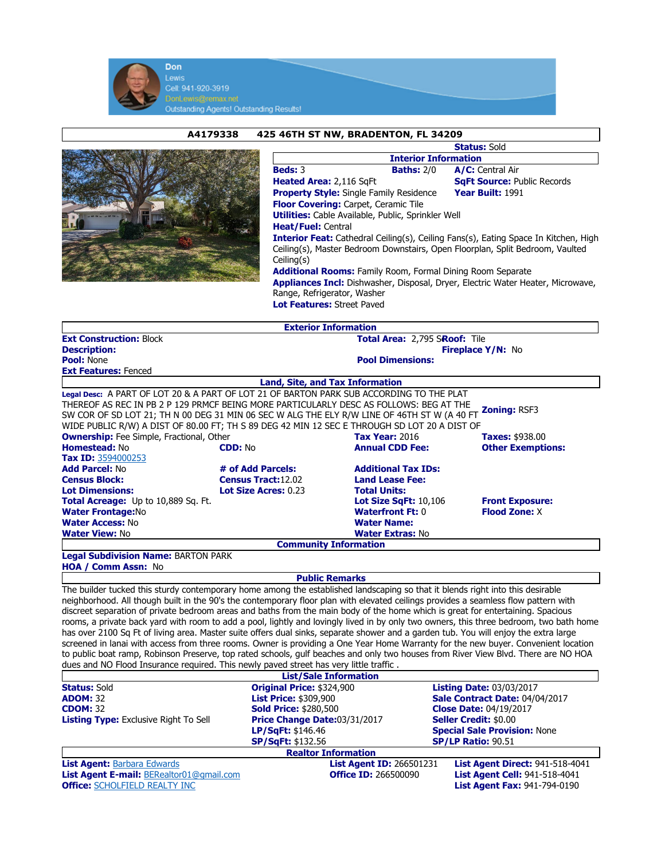

|                                                                                 | A4179338                                                                      | 425 46TH ST NW, BRADENTON, FL 34209                                                          |                                      |                                    |  |
|---------------------------------------------------------------------------------|-------------------------------------------------------------------------------|----------------------------------------------------------------------------------------------|--------------------------------------|------------------------------------|--|
|                                                                                 |                                                                               |                                                                                              | <b>Status: Sold</b>                  |                                    |  |
|                                                                                 |                                                                               |                                                                                              | <b>Interior Information</b>          |                                    |  |
|                                                                                 |                                                                               | Beds: 3                                                                                      | <b>Baths: 2/0</b>                    | A/C: Central Air                   |  |
|                                                                                 |                                                                               | Heated Area: 2,116 SqFt                                                                      |                                      | <b>SqFt Source: Public Records</b> |  |
|                                                                                 |                                                                               | <b>Property Style:</b> Single Family Residence                                               |                                      | Year Built: 1991                   |  |
|                                                                                 |                                                                               | <b>Floor Covering: Carpet, Ceramic Tile</b>                                                  |                                      |                                    |  |
|                                                                                 |                                                                               | <b>Utilities:</b> Cable Available, Public, Sprinkler Well                                    |                                      |                                    |  |
|                                                                                 |                                                                               | <b>Heat/Fuel: Central</b>                                                                    |                                      |                                    |  |
|                                                                                 |                                                                               | <b>Interior Feat:</b> Cathedral Ceiling(s), Ceiling Fans(s), Eating Space In Kitchen, High   |                                      |                                    |  |
|                                                                                 | Ceiling(s), Master Bedroom Downstairs, Open Floorplan, Split Bedroom, Vaulted |                                                                                              |                                      |                                    |  |
| Ceiling(s)                                                                      |                                                                               |                                                                                              |                                      |                                    |  |
| <b>Additional Rooms: Family Room, Formal Dining Room Separate</b>               |                                                                               |                                                                                              |                                      |                                    |  |
| Appliances Incl: Dishwasher, Disposal, Dryer, Electric Water Heater, Microwave, |                                                                               |                                                                                              |                                      |                                    |  |
|                                                                                 |                                                                               | Range, Refrigerator, Washer                                                                  |                                      |                                    |  |
|                                                                                 |                                                                               | <b>Lot Features: Street Paved</b>                                                            |                                      |                                    |  |
|                                                                                 |                                                                               | <b>Exterior Information</b>                                                                  |                                      |                                    |  |
| <b>Ext Construction: Block</b>                                                  |                                                                               |                                                                                              | <b>Total Area: 2,795 SRoof: Tile</b> |                                    |  |
| <b>Description:</b>                                                             |                                                                               |                                                                                              | <b>Fireplace Y/N: No</b>             |                                    |  |
| <b>Pool: None</b>                                                               |                                                                               |                                                                                              | <b>Pool Dimensions:</b>              |                                    |  |
| <b>Ext Features: Fenced</b>                                                     |                                                                               |                                                                                              |                                      |                                    |  |
|                                                                                 |                                                                               | Land, Site, and Tax Information                                                              |                                      |                                    |  |
|                                                                                 |                                                                               | Legal Desc: A PART OF LOT 20 & A PART OF LOT 21 OF BARTON PARK SUB ACCORDING TO THE PLAT     |                                      |                                    |  |
|                                                                                 |                                                                               | THEREOF AS REC IN PB 2 P 129 PRMCF BEING MORE PARTICULARLY DESC AS FOLLOWS: BEG AT THE       |                                      | Zoning: RSF3                       |  |
|                                                                                 |                                                                               | SW COR OF SD LOT 21; TH N 00 DEG 31 MIN 06 SEC W ALG THE ELY R/W LINE OF 46TH ST W (A 40 FT  |                                      |                                    |  |
|                                                                                 |                                                                               | WIDE PUBLIC R/W) A DIST OF 80.00 FT; TH S 89 DEG 42 MIN 12 SEC E THROUGH SD LOT 20 A DIST OF |                                      |                                    |  |
| <b>Ownership:</b> Fee Simple, Fractional, Other                                 |                                                                               |                                                                                              | <b>Tax Year: 2016</b>                | <b>Taxes: \$938.00</b>             |  |
| Homestead: No                                                                   | <b>CDD: No</b>                                                                |                                                                                              | <b>Annual CDD Fee:</b>               | <b>Other Exemptions:</b>           |  |
| Tax ID: 3594000253                                                              |                                                                               |                                                                                              |                                      |                                    |  |

Add Parcel: No **# of Add Parcels:** Additional Tax IDs:<br>
Census Block: Census Tract:12.02 Land Lease Fee: **Census Tract:12.02 Land Lease Lot Size Acres: 0.23 Co. 25 Total Units:** Lot Dimensions: Lot Size Acres: 0.23 Total Acreage: Up to 10,889 Sq. Ft. Lot Size SqFt: 10,106 Front Exposure: Water Frontage:No **Waterfront Ft: 0** Flood Zone: X<br>
Water Access: No **Water Name:** Water Name: Water Access: No<br>Water View: No **Water Extras: No** Community Information

Legal Subdivision Name: BARTON PARK HOA / Comm Assn: No

Public Remarks

The builder tucked this sturdy contemporary home among the established landscaping so that it blends right into this desirable neighborhood. All though built in the 90's the contemporary floor plan with elevated ceilings provides a seamless flow pattern with discreet separation of private bedroom areas and baths from the main body of the home which is great for entertaining. Spacious rooms, a private back yard with room to add a pool, lightly and lovingly lived in by only two owners, this three bedroom, two bath home has over 2100 Sq Ft of living area. Master suite offers dual sinks, separate shower and a garden tub. You will enjoy the extra large screened in lanai with access from three rooms. Owner is providing a One Year Home Warranty for the new buyer. Convenient location to public boat ramp, Robinson Preserve, top rated schools, gulf beaches and only two houses from River View Blvd. There are NO HOA dues and NO Flood Insurance required. This newly paved street has very little traffic .

|                                              | <b>List/Sale Information</b>    |                                        |  |
|----------------------------------------------|---------------------------------|----------------------------------------|--|
| <b>Status: Sold</b>                          | Original Price: \$324,900       | <b>Listing Date: 03/03/2017</b>        |  |
| <b>ADOM: 32</b>                              | <b>List Price: \$309,900</b>    | Sale Contract Date: 04/04/2017         |  |
| <b>CDOM: 32</b>                              | <b>Sold Price: \$280,500</b>    | <b>Close Date: 04/19/2017</b>          |  |
| <b>Listing Type:</b> Exclusive Right To Sell | Price Change Date:03/31/2017    | <b>Seller Credit: \$0.00</b>           |  |
|                                              | LP/SqFt: \$146.46               | <b>Special Sale Provision: None</b>    |  |
|                                              | <b>SP/SqFt: \$132.56</b>        | <b>SP/LP Ratio: 90.51</b>              |  |
|                                              | <b>Realtor Information</b>      |                                        |  |
| <b>List Agent: Barbara Edwards</b>           | <b>List Agent ID: 266501231</b> | <b>List Agent Direct: 941-518-4041</b> |  |
| List Agent E-mail: BERealtor01@gmail.com     | <b>Office ID: 266500090</b>     | <b>List Agent Cell: 941-518-4041</b>   |  |
| <b>Office: SCHOLFIELD REALTY INC</b>         |                                 | <b>List Agent Fax: 941-794-0190</b>    |  |